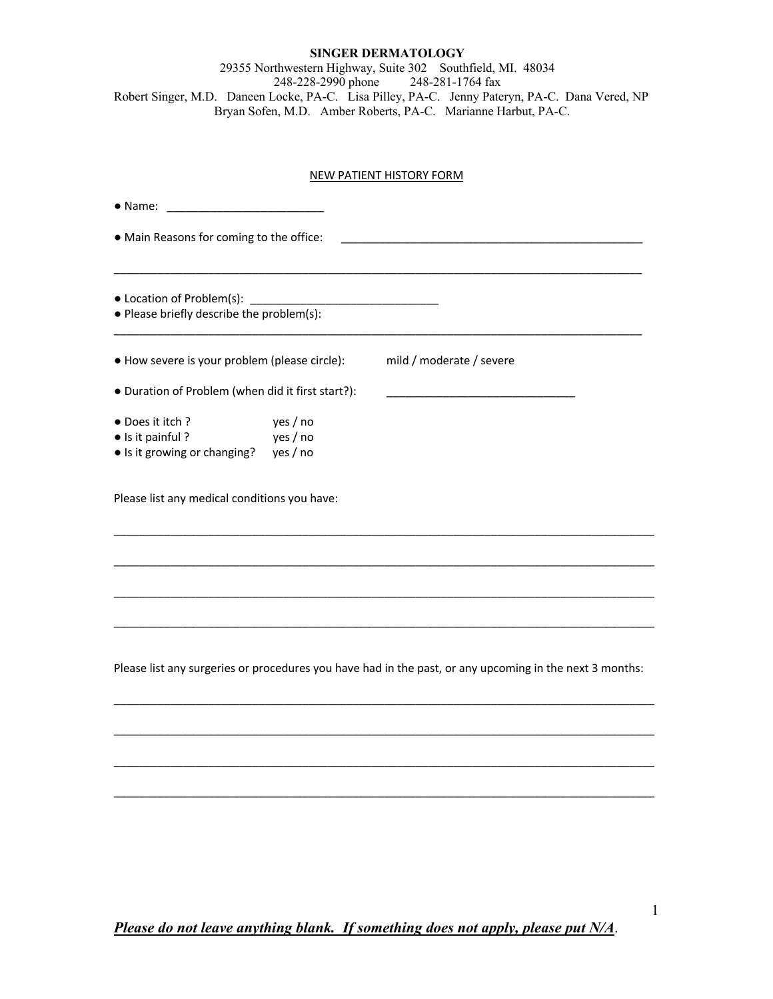### **SINGER DERMATOLOGY**

29355 Northwestern Highway, Suite 302 Southfield, MI. 48034 248-228-2990 phone 248-281-1764 fax Robert Singer, M.D. Daneen Locke, PA-C. Lisa Pilley, PA-C. Jenny Pateryn, PA-C. Dana Vered, NP Bryan Sofen, M.D. Amber Roberts, PA-C. Marianne Harbut, PA-C.

### NEW PATIENT HISTORY FORM

| $\bullet$ Name:                                                                                         |                                                                                                         |  |  |  |
|---------------------------------------------------------------------------------------------------------|---------------------------------------------------------------------------------------------------------|--|--|--|
| . Main Reasons for coming to the office:                                                                |                                                                                                         |  |  |  |
| • Location of Problem(s): ___________<br>• Please briefly describe the problem(s):                      |                                                                                                         |  |  |  |
| • How severe is your problem (please circle):                                                           | mild / moderate / severe                                                                                |  |  |  |
| • Duration of Problem (when did it first start?):                                                       |                                                                                                         |  |  |  |
| yes / no<br>• Does it itch?<br>yes / no<br>• Is it painful?<br>• Is it growing or changing?<br>yes / no |                                                                                                         |  |  |  |
| Please list any medical conditions you have:                                                            |                                                                                                         |  |  |  |
|                                                                                                         |                                                                                                         |  |  |  |
|                                                                                                         |                                                                                                         |  |  |  |
|                                                                                                         |                                                                                                         |  |  |  |
|                                                                                                         | Please list any surgeries or procedures you have had in the past, or any upcoming in the next 3 months: |  |  |  |
|                                                                                                         |                                                                                                         |  |  |  |
|                                                                                                         |                                                                                                         |  |  |  |
|                                                                                                         |                                                                                                         |  |  |  |

*Please do not leave anything blank. If something does not apply, please put N/A*.

\_\_\_\_\_\_\_\_\_\_\_\_\_\_\_\_\_\_\_\_\_\_\_\_\_\_\_\_\_\_\_\_\_\_\_\_\_\_\_\_\_\_\_\_\_\_\_\_\_\_\_\_\_\_\_\_\_\_\_\_\_\_\_\_\_\_\_\_\_\_\_\_\_\_\_\_\_\_\_\_\_\_\_\_\_\_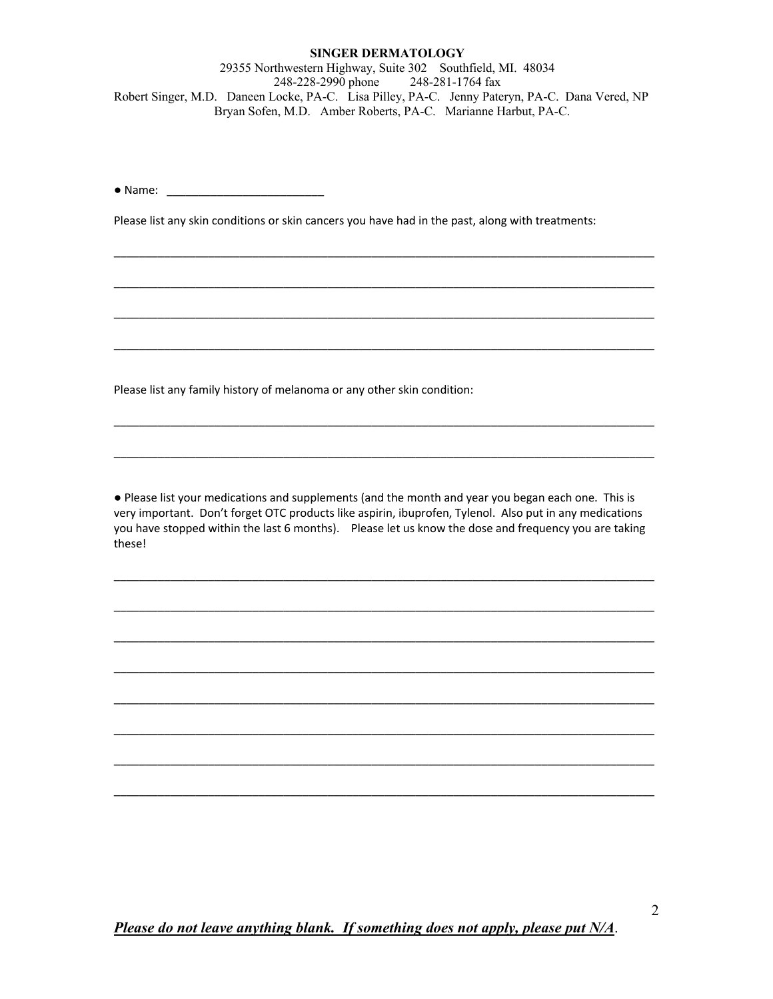#### **SINGER DERMATOLOGY**

29355 Northwestern Highway, Suite 302 Southfield, MI. 48034 248-228-2990 phone 248-281-1764 fax Robert Singer, M.D. Daneen Locke, PA-C. Lisa Pilley, PA-C. Jenny Pateryn, PA-C. Dana Vered, NP Bryan Sofen, M.D. Amber Roberts, PA-C. Marianne Harbut, PA-C.

● Name: \_\_\_\_\_\_\_\_\_\_\_\_\_\_\_\_\_\_\_\_\_\_\_\_\_

Please list any skin conditions or skin cancers you have had in the past, along with treatments:

\_\_\_\_\_\_\_\_\_\_\_\_\_\_\_\_\_\_\_\_\_\_\_\_\_\_\_\_\_\_\_\_\_\_\_\_\_\_\_\_\_\_\_\_\_\_\_\_\_\_\_\_\_\_\_\_\_\_\_\_\_\_\_\_\_\_\_\_\_\_\_\_\_\_\_\_\_\_\_\_\_\_\_\_\_\_

\_\_\_\_\_\_\_\_\_\_\_\_\_\_\_\_\_\_\_\_\_\_\_\_\_\_\_\_\_\_\_\_\_\_\_\_\_\_\_\_\_\_\_\_\_\_\_\_\_\_\_\_\_\_\_\_\_\_\_\_\_\_\_\_\_\_\_\_\_\_\_\_\_\_\_\_\_\_\_\_\_\_\_\_\_\_

\_\_\_\_\_\_\_\_\_\_\_\_\_\_\_\_\_\_\_\_\_\_\_\_\_\_\_\_\_\_\_\_\_\_\_\_\_\_\_\_\_\_\_\_\_\_\_\_\_\_\_\_\_\_\_\_\_\_\_\_\_\_\_\_\_\_\_\_\_\_\_\_\_\_\_\_\_\_\_\_\_\_\_\_\_\_

\_\_\_\_\_\_\_\_\_\_\_\_\_\_\_\_\_\_\_\_\_\_\_\_\_\_\_\_\_\_\_\_\_\_\_\_\_\_\_\_\_\_\_\_\_\_\_\_\_\_\_\_\_\_\_\_\_\_\_\_\_\_\_\_\_\_\_\_\_\_\_\_\_\_\_\_\_\_\_\_\_\_\_\_\_\_

\_\_\_\_\_\_\_\_\_\_\_\_\_\_\_\_\_\_\_\_\_\_\_\_\_\_\_\_\_\_\_\_\_\_\_\_\_\_\_\_\_\_\_\_\_\_\_\_\_\_\_\_\_\_\_\_\_\_\_\_\_\_\_\_\_\_\_\_\_\_\_\_\_\_\_\_\_\_\_\_\_\_\_\_\_\_

\_\_\_\_\_\_\_\_\_\_\_\_\_\_\_\_\_\_\_\_\_\_\_\_\_\_\_\_\_\_\_\_\_\_\_\_\_\_\_\_\_\_\_\_\_\_\_\_\_\_\_\_\_\_\_\_\_\_\_\_\_\_\_\_\_\_\_\_\_\_\_\_\_\_\_\_\_\_\_\_\_\_\_\_\_\_

Please list any family history of melanoma or any other skin condition:

● Please list your medications and supplements (and the month and year you began each one. This is very important. Don't forget OTC products like aspirin, ibuprofen, Tylenol. Also put in any medications you have stopped within the last 6 months). Please let us know the dose and frequency you are taking these!

\_\_\_\_\_\_\_\_\_\_\_\_\_\_\_\_\_\_\_\_\_\_\_\_\_\_\_\_\_\_\_\_\_\_\_\_\_\_\_\_\_\_\_\_\_\_\_\_\_\_\_\_\_\_\_\_\_\_\_\_\_\_\_\_\_\_\_\_\_\_\_\_\_\_\_\_\_\_\_\_\_\_\_\_\_\_

\_\_\_\_\_\_\_\_\_\_\_\_\_\_\_\_\_\_\_\_\_\_\_\_\_\_\_\_\_\_\_\_\_\_\_\_\_\_\_\_\_\_\_\_\_\_\_\_\_\_\_\_\_\_\_\_\_\_\_\_\_\_\_\_\_\_\_\_\_\_\_\_\_\_\_\_\_\_\_\_\_\_\_\_\_\_

\_\_\_\_\_\_\_\_\_\_\_\_\_\_\_\_\_\_\_\_\_\_\_\_\_\_\_\_\_\_\_\_\_\_\_\_\_\_\_\_\_\_\_\_\_\_\_\_\_\_\_\_\_\_\_\_\_\_\_\_\_\_\_\_\_\_\_\_\_\_\_\_\_\_\_\_\_\_\_\_\_\_\_\_\_\_

\_\_\_\_\_\_\_\_\_\_\_\_\_\_\_\_\_\_\_\_\_\_\_\_\_\_\_\_\_\_\_\_\_\_\_\_\_\_\_\_\_\_\_\_\_\_\_\_\_\_\_\_\_\_\_\_\_\_\_\_\_\_\_\_\_\_\_\_\_\_\_\_\_\_\_\_\_\_\_\_\_\_\_\_\_\_

\_\_\_\_\_\_\_\_\_\_\_\_\_\_\_\_\_\_\_\_\_\_\_\_\_\_\_\_\_\_\_\_\_\_\_\_\_\_\_\_\_\_\_\_\_\_\_\_\_\_\_\_\_\_\_\_\_\_\_\_\_\_\_\_\_\_\_\_\_\_\_\_\_\_\_\_\_\_\_\_\_\_\_\_\_\_

\_\_\_\_\_\_\_\_\_\_\_\_\_\_\_\_\_\_\_\_\_\_\_\_\_\_\_\_\_\_\_\_\_\_\_\_\_\_\_\_\_\_\_\_\_\_\_\_\_\_\_\_\_\_\_\_\_\_\_\_\_\_\_\_\_\_\_\_\_\_\_\_\_\_\_\_\_\_\_\_\_\_\_\_\_\_

\_\_\_\_\_\_\_\_\_\_\_\_\_\_\_\_\_\_\_\_\_\_\_\_\_\_\_\_\_\_\_\_\_\_\_\_\_\_\_\_\_\_\_\_\_\_\_\_\_\_\_\_\_\_\_\_\_\_\_\_\_\_\_\_\_\_\_\_\_\_\_\_\_\_\_\_\_\_\_\_\_\_\_\_\_\_

\_\_\_\_\_\_\_\_\_\_\_\_\_\_\_\_\_\_\_\_\_\_\_\_\_\_\_\_\_\_\_\_\_\_\_\_\_\_\_\_\_\_\_\_\_\_\_\_\_\_\_\_\_\_\_\_\_\_\_\_\_\_\_\_\_\_\_\_\_\_\_\_\_\_\_\_\_\_\_\_\_\_\_\_\_\_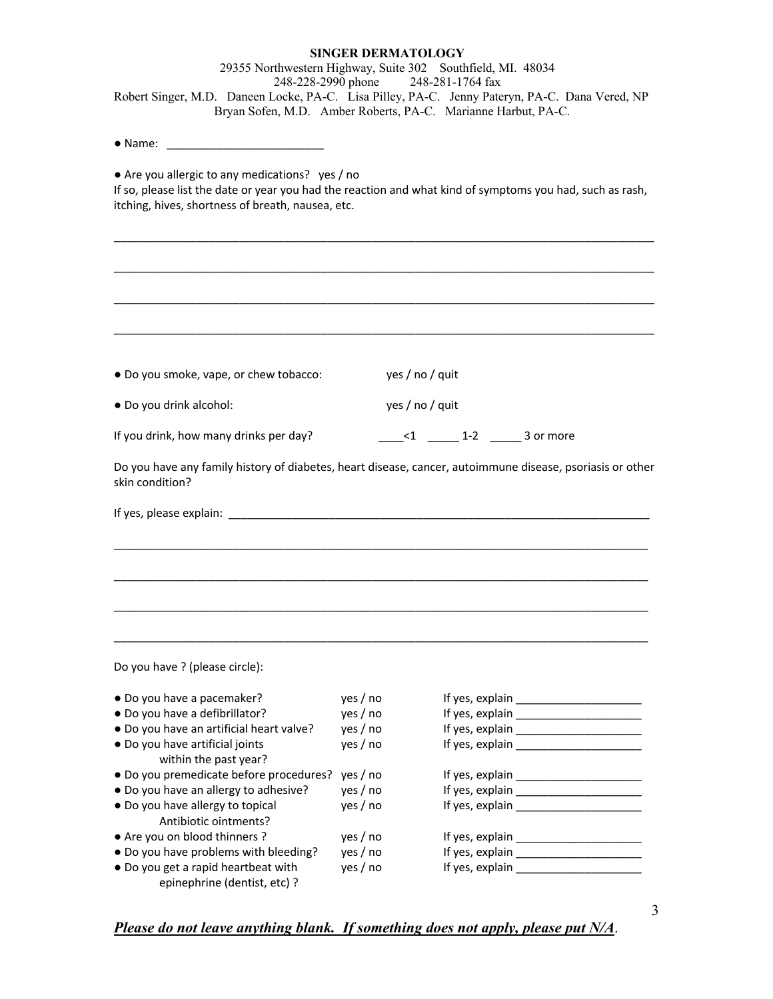# **SINGER DERMATOLOGY** 29355 Northwestern Highway, Suite 302 Southfield, MI. 48034 248-228-2990 phone 248-281-1764 fax Robert Singer, M.D. Daneen Locke, PA-C. Lisa Pilley, PA-C. Jenny Pateryn, PA-C. Dana Vered, NP Bryan Sofen, M.D. Amber Roberts, PA-C. Marianne Harbut, PA-C. ● Name: \_\_\_\_\_\_\_\_\_\_\_\_\_\_\_\_\_\_\_\_\_\_\_\_\_ ● Are you allergic to any medications? yes / no If so, please list the date or year you had the reaction and what kind of symptoms you had, such as rash, itching, hives, shortness of breath, nausea, etc. \_\_\_\_\_\_\_\_\_\_\_\_\_\_\_\_\_\_\_\_\_\_\_\_\_\_\_\_\_\_\_\_\_\_\_\_\_\_\_\_\_\_\_\_\_\_\_\_\_\_\_\_\_\_\_\_\_\_\_\_\_\_\_\_\_\_\_\_\_\_\_\_\_\_\_\_\_\_\_\_\_\_\_\_\_\_ \_\_\_\_\_\_\_\_\_\_\_\_\_\_\_\_\_\_\_\_\_\_\_\_\_\_\_\_\_\_\_\_\_\_\_\_\_\_\_\_\_\_\_\_\_\_\_\_\_\_\_\_\_\_\_\_\_\_\_\_\_\_\_\_\_\_\_\_\_\_\_\_\_\_\_\_\_\_\_\_\_\_\_\_\_\_ \_\_\_\_\_\_\_\_\_\_\_\_\_\_\_\_\_\_\_\_\_\_\_\_\_\_\_\_\_\_\_\_\_\_\_\_\_\_\_\_\_\_\_\_\_\_\_\_\_\_\_\_\_\_\_\_\_\_\_\_\_\_\_\_\_\_\_\_\_\_\_\_\_\_\_\_\_\_\_\_\_\_\_\_\_\_ \_\_\_\_\_\_\_\_\_\_\_\_\_\_\_\_\_\_\_\_\_\_\_\_\_\_\_\_\_\_\_\_\_\_\_\_\_\_\_\_\_\_\_\_\_\_\_\_\_\_\_\_\_\_\_\_\_\_\_\_\_\_\_\_\_\_\_\_\_\_\_\_\_\_\_\_\_\_\_\_\_\_\_\_\_\_ ● Do you smoke, vape, or chew tobacco: yes / no / quit ● Do you drink alcohol: yes / no / quit If you drink, how many drinks per day?  $\leq 1$   $\leq 1$   $\leq 2$   $\leq 3$  or more Do you have any family history of diabetes, heart disease, cancer, autoimmune disease, psoriasis or other skin condition? If yes, please explain: \_\_\_\_\_\_\_\_\_\_\_\_\_\_\_\_\_\_\_\_\_\_\_\_\_\_\_\_\_\_\_\_\_\_\_\_\_\_\_\_\_\_\_\_\_\_\_\_\_\_\_\_\_\_\_\_\_\_\_\_\_\_\_\_\_\_\_ \_\_\_\_\_\_\_\_\_\_\_\_\_\_\_\_\_\_\_\_\_\_\_\_\_\_\_\_\_\_\_\_\_\_\_\_\_\_\_\_\_\_\_\_\_\_\_\_\_\_\_\_\_\_\_\_\_\_\_\_\_\_\_\_\_\_\_\_\_\_\_\_\_\_\_\_\_\_\_\_\_\_\_\_\_ \_\_\_\_\_\_\_\_\_\_\_\_\_\_\_\_\_\_\_\_\_\_\_\_\_\_\_\_\_\_\_\_\_\_\_\_\_\_\_\_\_\_\_\_\_\_\_\_\_\_\_\_\_\_\_\_\_\_\_\_\_\_\_\_\_\_\_\_\_\_\_\_\_\_\_\_\_\_\_\_\_\_\_\_\_ \_\_\_\_\_\_\_\_\_\_\_\_\_\_\_\_\_\_\_\_\_\_\_\_\_\_\_\_\_\_\_\_\_\_\_\_\_\_\_\_\_\_\_\_\_\_\_\_\_\_\_\_\_\_\_\_\_\_\_\_\_\_\_\_\_\_\_\_\_\_\_\_\_\_\_\_\_\_\_\_\_\_\_\_\_ \_\_\_\_\_\_\_\_\_\_\_\_\_\_\_\_\_\_\_\_\_\_\_\_\_\_\_\_\_\_\_\_\_\_\_\_\_\_\_\_\_\_\_\_\_\_\_\_\_\_\_\_\_\_\_\_\_\_\_\_\_\_\_\_\_\_\_\_\_\_\_\_\_\_\_\_\_\_\_\_\_\_\_\_\_ Do you have ? (please circle): • Do you have a pacemaker?  $yes / no$  If yes, explain \_\_\_\_\_\_\_\_\_\_\_\_\_\_\_\_\_\_\_\_\_\_\_\_\_\_\_\_\_\_ ● Do you have a defibrillator? yes / no If yes, explain • Do you have an artificial heart valve? yes / no If yes, explain \_\_\_\_\_\_\_\_\_\_\_\_\_\_ ● Do you have artificial joints yes / no If yes, explain \_\_\_\_\_\_\_\_\_\_\_\_\_\_\_\_\_\_\_\_\_\_ within the past year? ● Do you premedicate before procedures? yes / no If yes, explain • Do you have an allergy to adhesive? yes / no If yes, explain \_\_\_\_\_\_\_\_\_\_\_\_\_\_\_\_\_ ● Do you have allergy to topical yes / no If yes, explain \_\_\_\_\_\_\_\_\_\_\_\_\_\_\_\_\_\_\_\_\_\_ Antibiotic ointments? • Are you on blood thinners ?  $\overline{\phantom{a}}$  yes / no  $\overline{\phantom{a}}$  If yes, explain  $\overline{\phantom{a}}$ • Do you have problems with bleeding? yes / no If yes, explain \_\_\_\_\_\_\_\_\_\_\_\_\_\_\_\_\_ ● Do you get a rapid heartbeat with yes / no If yes, explain \_\_\_\_\_\_\_\_\_\_\_\_\_\_\_\_\_\_\_

## *Please do not leave anything blank. If something does not apply, please put N/A*.

epinephrine (dentist, etc) ?

3